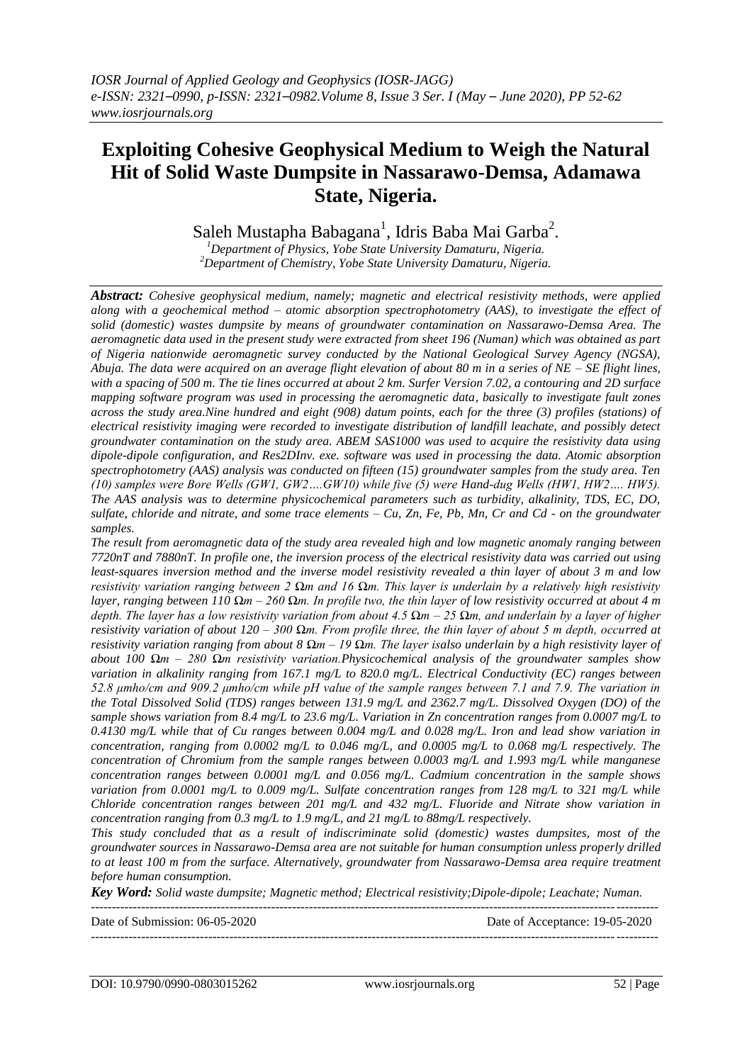# **Exploiting Cohesive Geophysical Medium to Weigh the Natural Hit of Solid Waste Dumpsite in Nassarawo-Demsa, Adamawa State, Nigeria.**

Saleh Mustapha Babagana $^1$ , Idris Baba Mai Garba $^2$ .

*<sup>1</sup>Department of Physics, Yobe State University Damaturu, Nigeria. <sup>2</sup>Department of Chemistry, Yobe State University Damaturu, Nigeria.*

*Abstract: Cohesive geophysical medium, namely; magnetic and electrical resistivity methods, were applied along with a geochemical method – atomic absorption spectrophotometry (AAS), to investigate the effect of solid (domestic) wastes dumpsite by means of groundwater contamination on Nassarawo-Demsa Area. The aeromagnetic data used in the present study were extracted from sheet 196 (Numan) which was obtained as part of Nigeria nationwide aeromagnetic survey conducted by the National Geological Survey Agency (NGSA), Abuja. The data were acquired on an average flight elevation of about 80 m in a series of NE – SE flight lines, with a spacing of 500 m. The tie lines occurred at about 2 km. Surfer Version 7.02, a contouring and 2D surface mapping software program was used in processing the aeromagnetic data, basically to investigate fault zones across the study area.Nine hundred and eight (908) datum points, each for the three (3) profiles (stations) of electrical resistivity imaging were recorded to investigate distribution of landfill leachate, and possibly detect groundwater contamination on the study area. ABEM SAS1000 was used to acquire the resistivity data using dipole-dipole configuration, and Res2DInv. exe. software was used in processing the data. Atomic absorption spectrophotometry (AAS) analysis was conducted on fifteen (15) groundwater samples from the study area. Ten (10) samples were Bore Wells (GW1, GW2….GW10) while five (5) were Hand-dug Wells (HW1, HW2…. HW5). The AAS analysis was to determine physicochemical parameters such as turbidity, alkalinity, TDS, EC, DO, sulfate, chloride and nitrate, and some trace elements – Cu, Zn, Fe, Pb, Mn, Cr and Cd - on the groundwater samples.* 

*The result from aeromagnetic data of the study area revealed high and low magnetic anomaly ranging between 7720nT and 7880nT. In profile one, the inversion process of the electrical resistivity data was carried out using least-squares inversion method and the inverse model resistivity revealed a thin layer of about 3 m and low resistivity variation ranging between 2 Ωm and 16 Ωm. This layer is underlain by a relatively high resistivity layer, ranging between 110 Ωm – 260 Ωm. In profile two, the thin layer of low resistivity occurred at about 4 m depth. The layer has a low resistivity variation from about 4.5 Ωm – 25 Ωm, and underlain by a layer of higher resistivity variation of about 120 – 300 Ωm. From profile three, the thin layer of about 5 m depth, occurred at resistivity variation ranging from about 8 Ωm – 19 Ωm. The layer isalso underlain by a high resistivity layer of about 100 Ωm – 280 Ωm resistivity variation.Physicochemical analysis of the groundwater samples show variation in alkalinity ranging from 167.1 mg/L to 820.0 mg/L. Electrical Conductivity (EC) ranges between 52.8 μmho/cm and 909.2 μmho/cm while pH value of the sample ranges between 7.1 and 7.9. The variation in the Total Dissolved Solid (TDS) ranges between 131.9 mg/L and 2362.7 mg/L. Dissolved Oxygen (DO) of the sample shows variation from 8.4 mg/L to 23.6 mg/L. Variation in Zn concentration ranges from 0.0007 mg/L to 0.4130 mg/L while that of Cu ranges between 0.004 mg/L and 0.028 mg/L. Iron and lead show variation in concentration, ranging from 0.0002 mg/L to 0.046 mg/L, and 0.0005 mg/L to 0.068 mg/L respectively. The concentration of Chromium from the sample ranges between 0.0003 mg/L and 1.993 mg/L while manganese concentration ranges between 0.0001 mg/L and 0.056 mg/L. Cadmium concentration in the sample shows variation from 0.0001 mg/L to 0.009 mg/L. Sulfate concentration ranges from 128 mg/L to 321 mg/L while Chloride concentration ranges between 201 mg/L and 432 mg/L. Fluoride and Nitrate show variation in concentration ranging from 0.3 mg/L to 1.9 mg/L, and 21 mg/L to 88mg/L respectively.*

*This study concluded that as a result of indiscriminate solid (domestic) wastes dumpsites, most of the groundwater sources in Nassarawo-Demsa area are not suitable for human consumption unless properly drilled to at least 100 m from the surface. Alternatively, groundwater from Nassarawo-Demsa area require treatment before human consumption.*

*Key Word: Solid waste dumpsite; Magnetic method; Electrical resistivity;Dipole-dipole; Leachate; Numan.*

| Date of Submission: $06-05-2020$ | Date of Acceptance: 19-05-2020 |
|----------------------------------|--------------------------------|
|                                  |                                |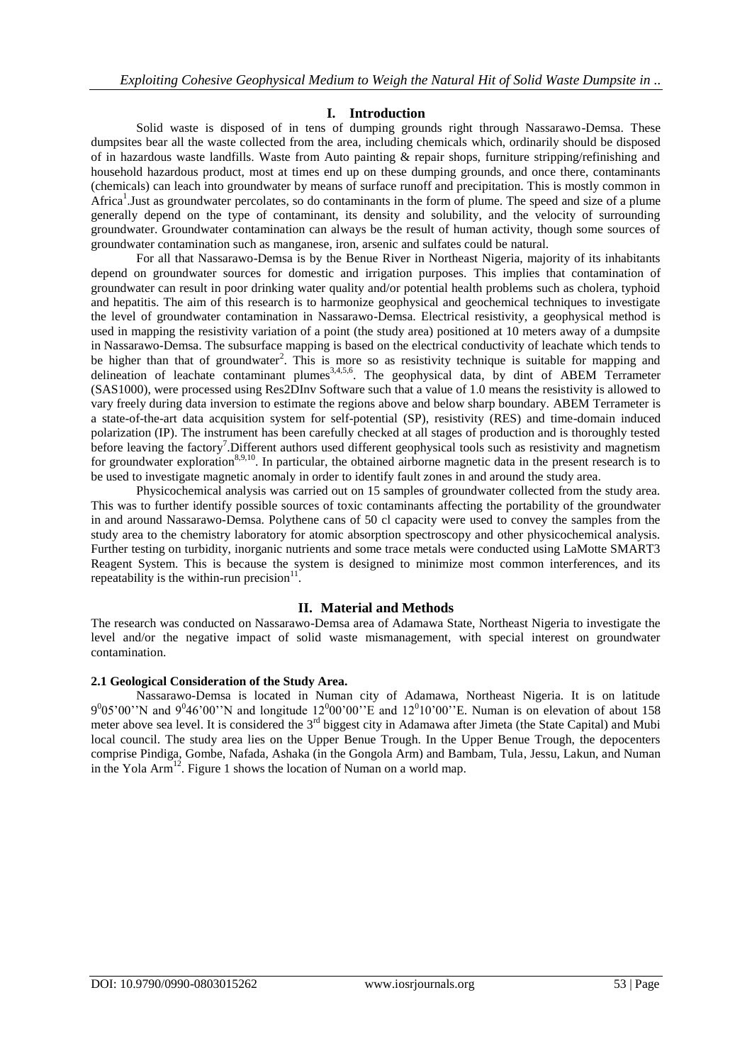# **I. Introduction**

Solid waste is disposed of in tens of dumping grounds right through Nassarawo-Demsa. These dumpsites bear all the waste collected from the area, including chemicals which, ordinarily should be disposed of in hazardous waste landfills. Waste from Auto painting & repair shops, furniture stripping/refinishing and household hazardous product, most at times end up on these dumping grounds, and once there, contaminants (chemicals) can leach into groundwater by means of surface runoff and precipitation. This is mostly common in Africa<sup>1</sup>. Just as groundwater percolates, so do contaminants in the form of plume. The speed and size of a plume generally depend on the type of contaminant, its density and solubility, and the velocity of surrounding groundwater. Groundwater contamination can always be the result of human activity, though some sources of groundwater contamination such as manganese, iron, arsenic and sulfates could be natural.

For all that Nassarawo-Demsa is by the Benue River in Northeast Nigeria, majority of its inhabitants depend on groundwater sources for domestic and irrigation purposes. This implies that contamination of groundwater can result in poor drinking water quality and/or potential health problems such as cholera, typhoid and hepatitis. The aim of this research is to harmonize geophysical and geochemical techniques to investigate the level of groundwater contamination in Nassarawo-Demsa. Electrical resistivity, a geophysical method is used in mapping the resistivity variation of a point (the study area) positioned at 10 meters away of a dumpsite in Nassarawo-Demsa. The subsurface mapping is based on the electrical conductivity of leachate which tends to be higher than that of groundwater<sup>2</sup>. This is more so as resistivity technique is suitable for mapping and delineation of leachate contaminant plumes<sup>3,4,5,6</sup>. The geophysical data, by dint of ABEM Terrameter (SAS1000), were processed using Res2DInv Software such that a value of 1.0 means the resistivity is allowed to vary freely during data inversion to estimate the regions above and below sharp boundary. ABEM Terrameter is a state-of-the-art data acquisition system for self-potential (SP), resistivity (RES) and time-domain induced polarization (IP). The instrument has been carefully checked at all stages of production and is thoroughly tested before leaving the factory<sup>7</sup>. Different authors used different geophysical tools such as resistivity and magnetism for groundwater exploration<sup>8,9,10</sup>. In particular, the obtained airborne magnetic data in the present research is to be used to investigate magnetic anomaly in order to identify fault zones in and around the study area.

Physicochemical analysis was carried out on 15 samples of groundwater collected from the study area. This was to further identify possible sources of toxic contaminants affecting the portability of the groundwater in and around Nassarawo-Demsa. Polythene cans of 50 cl capacity were used to convey the samples from the study area to the chemistry laboratory for atomic absorption spectroscopy and other physicochemical analysis. Further testing on turbidity, inorganic nutrients and some trace metals were conducted using LaMotte SMART3 Reagent System. This is because the system is designed to minimize most common interferences, and its repeatability is the within-run precision $<sup>1</sup>$ </sup> .

# **II. Material and Methods**

The research was conducted on Nassarawo-Demsa area of Adamawa State, Northeast Nigeria to investigate the level and/or the negative impact of solid waste mismanagement, with special interest on groundwater contamination.

## **2.1 Geological Consideration of the Study Area.**

Nassarawo-Demsa is located in Numan city of Adamawa, Northeast Nigeria. It is on latitude  $9^{0}05'00''$ N and  $9^{0}46'00''$ N and longitude 12<sup>0</sup>00'00"E and 12<sup>0</sup>10'00"E. Numan is on elevation of about 158 meter above sea level. It is considered the 3<sup>rd</sup> biggest city in Adamawa after Jimeta (the State Capital) and Mubi local council. The study area lies on the Upper Benue Trough. In the Upper Benue Trough, the depocenters comprise Pindiga, Gombe, Nafada, Ashaka (in the Gongola Arm) and Bambam, Tula, Jessu, Lakun, and Numan in the Yola Arm<sup>12</sup>. Figure 1 shows the location of Numan on a world map.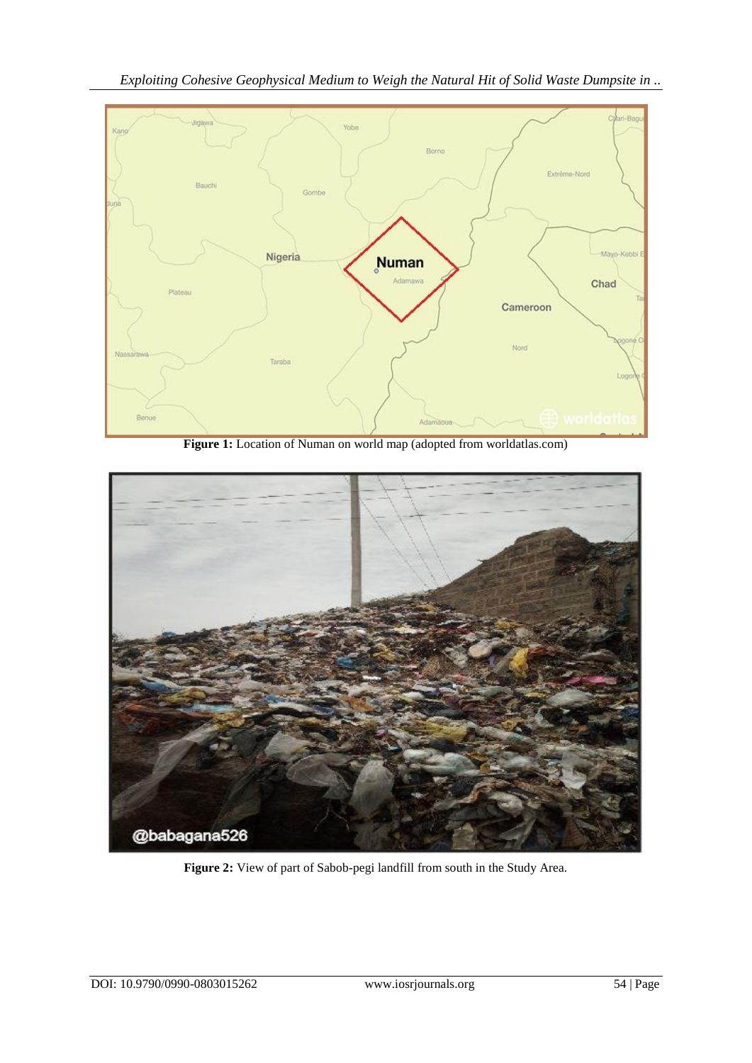*Exploiting Cohesive Geophysical Medium to Weigh the Natural Hit of Solid Waste Dumpsite in ..*



**Figure 1:** Location of Numan on world map (adopted from worldatlas.com)



**Figure 2:** View of part of Sabob-pegi landfill from south in the Study Area.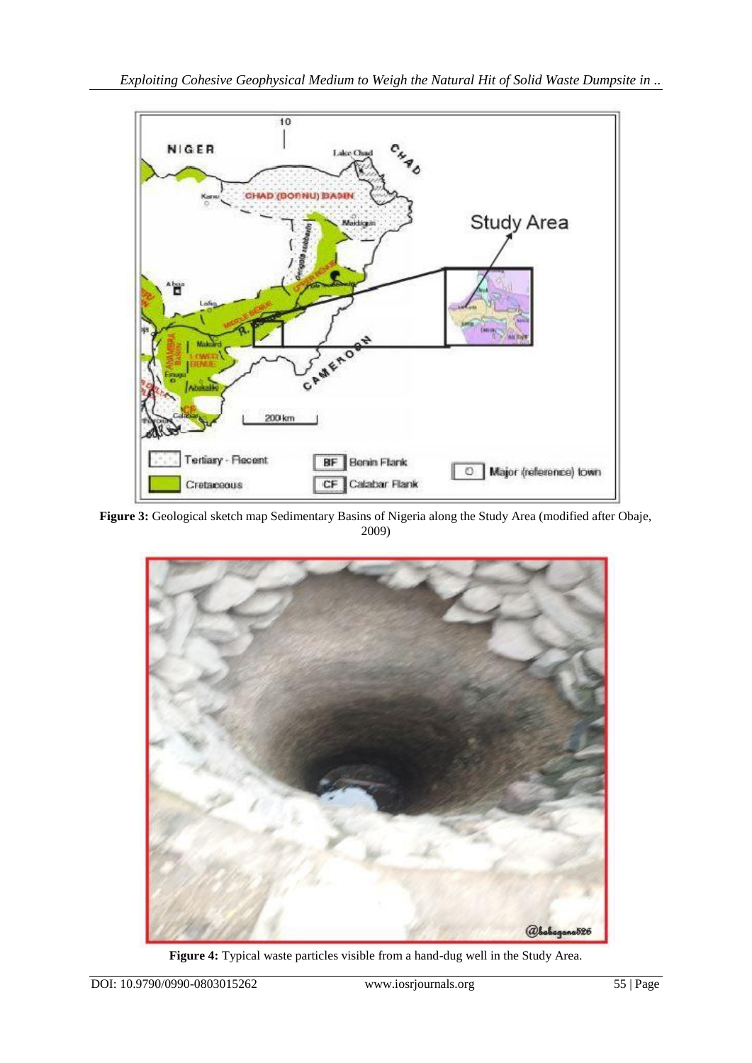

**Figure 3:** Geological sketch map Sedimentary Basins of Nigeria along the Study Area (modified after Obaje, 2009)



**Figure 4:** Typical waste particles visible from a hand-dug well in the Study Area.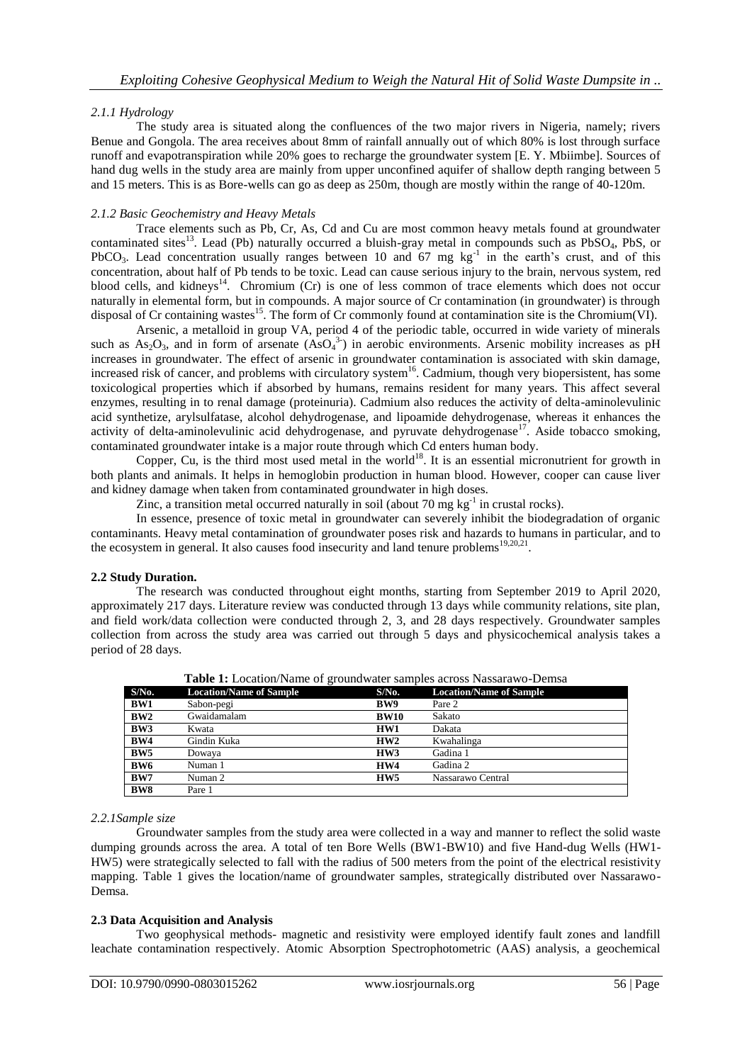# *2.1.1 Hydrology*

The study area is situated along the confluences of the two major rivers in Nigeria, namely; rivers Benue and Gongola. The area receives about 8mm of rainfall annually out of which 80% is lost through surface runoff and evapotranspiration while 20% goes to recharge the groundwater system [E. Y. Mbiimbe]. Sources of hand dug wells in the study area are mainly from upper unconfined aquifer of shallow depth ranging between 5 and 15 meters. This is as Bore-wells can go as deep as 250m, though are mostly within the range of 40-120m.

## *2.1.2 Basic Geochemistry and Heavy Metals*

Trace elements such as Pb, Cr, As, Cd and Cu are most common heavy metals found at groundwater contaminated sites<sup>13</sup>. Lead (Pb) naturally occurred a bluish-gray metal in compounds such as  $PbSO_4$ , PbS, or PbCO<sub>3</sub>. Lead concentration usually ranges between 10 and  $67 \text{ mg}$  kg<sup>-1</sup> in the earth's crust, and of this concentration, about half of Pb tends to be toxic. Lead can cause serious injury to the brain, nervous system, red blood cells, and kidneys<sup>14</sup>. Chromium (Cr) is one of less common of trace elements which does not occur naturally in elemental form, but in compounds. A major source of Cr contamination (in groundwater) is through disposal of Cr containing wastes<sup>15</sup>. The form of Cr commonly found at contamination site is the Chromium(VI).

Arsenic, a metalloid in group VA, period 4 of the periodic table, occurred in wide variety of minerals such as  $As_2O_3$ , and in form of arsenate  $(AsO<sub>4</sub><sup>3</sup>)$  in aerobic environments. Arsenic mobility increases as pH increases in groundwater. The effect of arsenic in groundwater contamination is associated with skin damage, increased risk of cancer, and problems with circulatory system<sup>16</sup>. Cadmium, though very biopersistent, has some toxicological properties which if absorbed by humans, remains resident for many years. This affect several enzymes, resulting in to renal damage (proteinuria). Cadmium also reduces the activity of delta-aminolevulinic acid synthetize, arylsulfatase, alcohol dehydrogenase, and lipoamide dehydrogenase, whereas it enhances the activity of delta-aminolevulinic acid dehydrogenase, and pyruvate dehydrogenase<sup>17</sup>. Aside tobacco smoking, contaminated groundwater intake is a major route through which Cd enters human body.

Copper, Cu, is the third most used metal in the world<sup>18</sup>. It is an essential micronutrient for growth in both plants and animals. It helps in hemoglobin production in human blood. However, cooper can cause liver and kidney damage when taken from contaminated groundwater in high doses.

Zinc, a transition metal occurred naturally in soil (about 70 mg  $kg^{-1}$  in crustal rocks).

In essence, presence of toxic metal in groundwater can severely inhibit the biodegradation of organic contaminants. Heavy metal contamination of groundwater poses risk and hazards to humans in particular, and to the ecosystem in general. It also causes food insecurity and land tenure problems<sup>19,20,21</sup>.

# **2.2 Study Duration.**

The research was conducted throughout eight months, starting from September 2019 to April 2020, approximately 217 days. Literature review was conducted through 13 days while community relations, site plan, and field work/data collection were conducted through 2, 3, and 28 days respectively. Groundwater samples collection from across the study area was carried out through 5 days and physicochemical analysis takes a period of 28 days.

|                 | $\frac{1}{2}$ . The contract $\frac{1}{2}$ of $\frac{1}{2}$ and $\frac{1}{2}$ and $\frac{1}{2}$ and $\frac{1}{2}$ and $\frac{1}{2}$ and $\frac{1}{2}$ |                 |                                |
|-----------------|-------------------------------------------------------------------------------------------------------------------------------------------------------|-----------------|--------------------------------|
| $S/N0$ .        | <b>Location/Name of Sample</b>                                                                                                                        | $S/N0$ .        | <b>Location/Name of Sample</b> |
| BW1             | Sabon-pegi                                                                                                                                            | BW9             | Pare 2                         |
| BW2             | Gwaidamalam                                                                                                                                           | <b>BW10</b>     | Sakato                         |
| BW3             | Kwata                                                                                                                                                 | HW1             | Dakata                         |
| BW4             | Gindin Kuka                                                                                                                                           | HW2             | Kwahalinga                     |
| BW <sub>5</sub> | Dowaya                                                                                                                                                | HW3             | Gadina 1                       |
| BW <sub>6</sub> | Numan 1                                                                                                                                               | HW4             | Gadina 2                       |
| BW7             | Numan 2                                                                                                                                               | HW <sub>5</sub> | Nassarawo Central              |
| BW <sub>8</sub> | Pare 1                                                                                                                                                |                 |                                |

**Table 1:** Location/Name of groundwater samples across Nassarawo-Demsa

## *2.2.1Sample size*

Groundwater samples from the study area were collected in a way and manner to reflect the solid waste dumping grounds across the area. A total of ten Bore Wells (BW1-BW10) and five Hand-dug Wells (HW1- HW5) were strategically selected to fall with the radius of 500 meters from the point of the electrical resistivity mapping. Table 1 gives the location/name of groundwater samples, strategically distributed over Nassarawo-Demsa.

# **2.3 Data Acquisition and Analysis**

Two geophysical methods- magnetic and resistivity were employed identify fault zones and landfill leachate contamination respectively. Atomic Absorption Spectrophotometric (AAS) analysis, a geochemical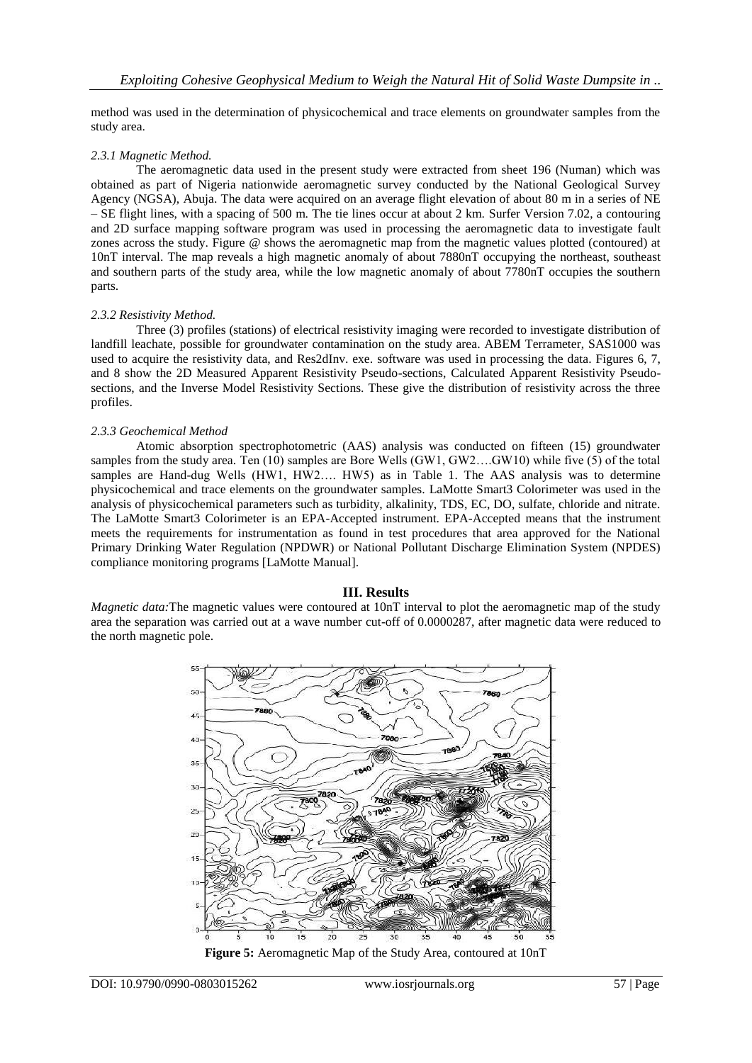method was used in the determination of physicochemical and trace elements on groundwater samples from the study area.

## *2.3.1 Magnetic Method.*

The aeromagnetic data used in the present study were extracted from sheet 196 (Numan) which was obtained as part of Nigeria nationwide aeromagnetic survey conducted by the National Geological Survey Agency (NGSA), Abuja. The data were acquired on an average flight elevation of about 80 m in a series of NE – SE flight lines, with a spacing of 500 m. The tie lines occur at about 2 km. Surfer Version 7.02, a contouring and 2D surface mapping software program was used in processing the aeromagnetic data to investigate fault zones across the study. Figure @ shows the aeromagnetic map from the magnetic values plotted (contoured) at 10nT interval. The map reveals a high magnetic anomaly of about 7880nT occupying the northeast, southeast and southern parts of the study area, while the low magnetic anomaly of about 7780nT occupies the southern parts.

## *2.3.2 Resistivity Method.*

Three (3) profiles (stations) of electrical resistivity imaging were recorded to investigate distribution of landfill leachate, possible for groundwater contamination on the study area. ABEM Terrameter, SAS1000 was used to acquire the resistivity data, and Res2dInv. exe. software was used in processing the data. Figures 6, 7, and 8 show the 2D Measured Apparent Resistivity Pseudo-sections, Calculated Apparent Resistivity Pseudosections, and the Inverse Model Resistivity Sections. These give the distribution of resistivity across the three profiles.

## *2.3.3 Geochemical Method*

Atomic absorption spectrophotometric (AAS) analysis was conducted on fifteen (15) groundwater samples from the study area. Ten (10) samples are Bore Wells (GW1, GW2….GW10) while five (5) of the total samples are Hand-dug Wells (HW1, HW2.... HW5) as in Table 1. The AAS analysis was to determine physicochemical and trace elements on the groundwater samples. LaMotte Smart3 Colorimeter was used in the analysis of physicochemical parameters such as turbidity, alkalinity, TDS, EC, DO, sulfate, chloride and nitrate. The LaMotte Smart3 Colorimeter is an EPA-Accepted instrument. EPA-Accepted means that the instrument meets the requirements for instrumentation as found in test procedures that area approved for the National Primary Drinking Water Regulation (NPDWR) or National Pollutant Discharge Elimination System (NPDES) compliance monitoring programs [LaMotte Manual].

# **III. Results**

*Magnetic data:*The magnetic values were contoured at 10nT interval to plot the aeromagnetic map of the study area the separation was carried out at a wave number cut-off of 0.0000287, after magnetic data were reduced to the north magnetic pole.



**Figure 5:** Aeromagnetic Map of the Study Area, contoured at 10nT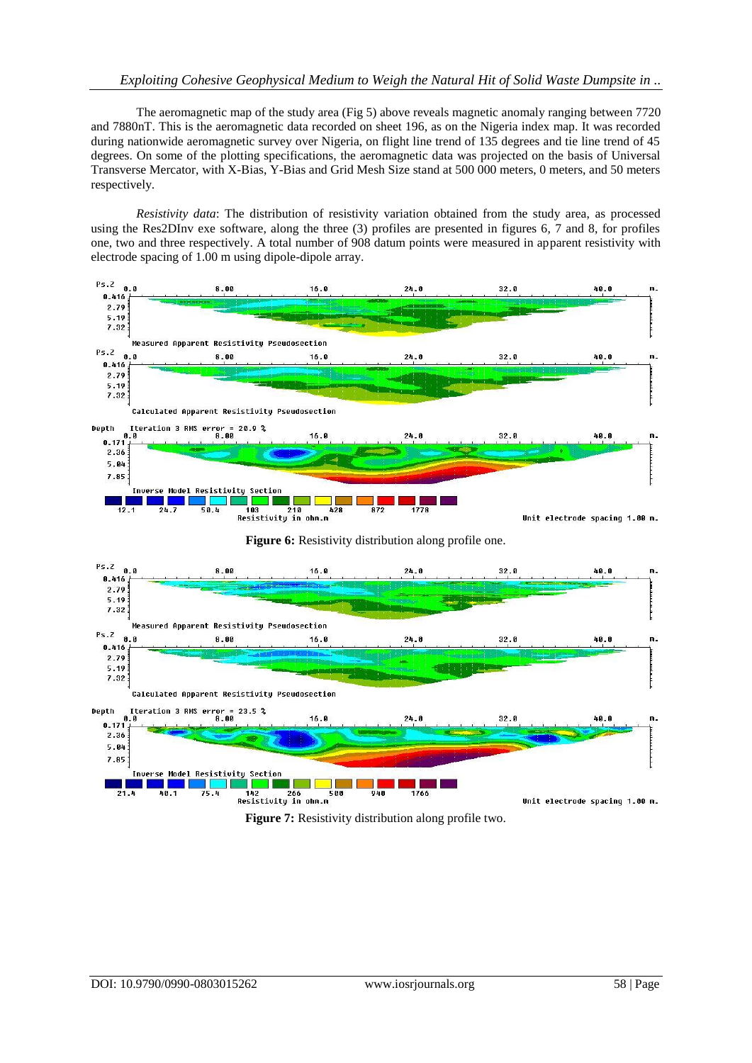# *Exploiting Cohesive Geophysical Medium to Weigh the Natural Hit of Solid Waste Dumpsite in ..*

The aeromagnetic map of the study area (Fig 5) above reveals magnetic anomaly ranging between 7720 and 7880nT. This is the aeromagnetic data recorded on sheet 196, as on the Nigeria index map. It was recorded during nationwide aeromagnetic survey over Nigeria, on flight line trend of 135 degrees and tie line trend of 45 degrees. On some of the plotting specifications, the aeromagnetic data was projected on the basis of Universal Transverse Mercator, with X-Bias, Y-Bias and Grid Mesh Size stand at 500 000 meters, 0 meters, and 50 meters respectively.

*Resistivity data*: The distribution of resistivity variation obtained from the study area, as processed using the Res2DInv exe software, along the three (3) profiles are presented in figures 6, 7 and 8, for profiles one, two and three respectively. A total number of 908 datum points were measured in apparent resistivity with electrode spacing of 1.00 m using dipole-dipole array.





**Figure 7:** Resistivity distribution along profile two.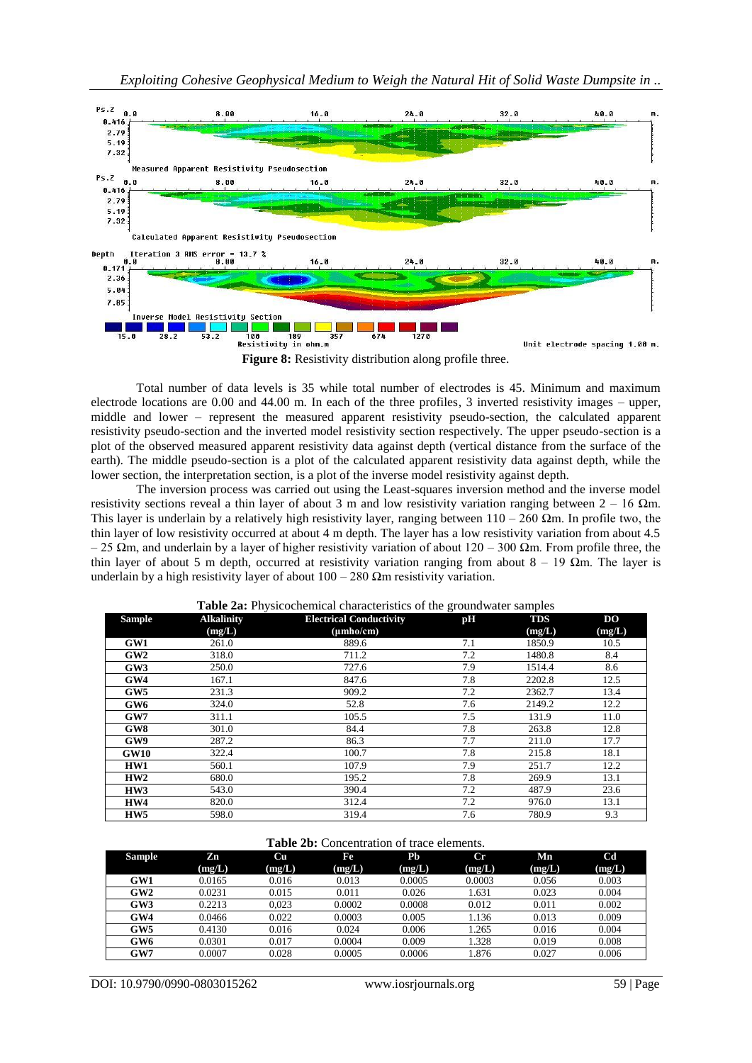

**Figure 8:** Resistivity distribution along profile three.

Total number of data levels is 35 while total number of electrodes is 45. Minimum and maximum electrode locations are 0.00 and 44.00 m. In each of the three profiles, 3 inverted resistivity images – upper, middle and lower – represent the measured apparent resistivity pseudo-section, the calculated apparent resistivity pseudo-section and the inverted model resistivity section respectively. The upper pseudo-section is a plot of the observed measured apparent resistivity data against depth (vertical distance from the surface of the earth). The middle pseudo-section is a plot of the calculated apparent resistivity data against depth, while the lower section, the interpretation section, is a plot of the inverse model resistivity against depth.

The inversion process was carried out using the Least-squares inversion method and the inverse model resistivity sections reveal a thin layer of about 3 m and low resistivity variation ranging between  $2 - 16$  Ωm. This layer is underlain by a relatively high resistivity layer, ranging between  $110 - 260$   $\Omega$ m. In profile two, the thin layer of low resistivity occurred at about 4 m depth. The layer has a low resistivity variation from about 4.5  $-25$  Ωm, and underlain by a layer of higher resistivity variation of about 120 – 300 Ωm. From profile three, the thin layer of about 5 m depth, occurred at resistivity variation ranging from about  $8 - 19 \Omega m$ . The layer is underlain by a high resistivity layer of about  $100 - 280$  Ωm resistivity variation.

| <b>Sample</b>   | <b>Alkalinity</b> | <b>Electrical Conductivity</b> | pH  | <b>TDS</b> | <b>DO</b> |
|-----------------|-------------------|--------------------------------|-----|------------|-----------|
|                 | (mg/L)            | $(\mu mho/cm)$                 |     | (mg/L)     | (mg/L)    |
| GW1             | 261.0             | 889.6                          | 7.1 | 1850.9     | 10.5      |
| GW2             | 318.0             | 711.2                          | 7.2 | 1480.8     | 8.4       |
| GW3             | 250.0             | 727.6                          | 7.9 | 1514.4     | 8.6       |
| GW4             | 167.1             | 847.6                          | 7.8 | 2202.8     | 12.5      |
| GW5             | 231.3             | 909.2                          | 7.2 | 2362.7     | 13.4      |
| GW <sub>6</sub> | 324.0             | 52.8                           | 7.6 | 2149.2     | 12.2      |
| GW7             | 311.1             | 105.5                          | 7.5 | 131.9      | 11.0      |
| GW8             | 301.0             | 84.4                           | 7.8 | 263.8      | 12.8      |
| GW9             | 287.2             | 86.3                           | 7.7 | 211.0      | 17.7      |
| GW10            | 322.4             | 100.7                          | 7.8 | 215.8      | 18.1      |
| HW1             | 560.1             | 107.9                          | 7.9 | 251.7      | 12.2      |
| HW2             | 680.0             | 195.2                          | 7.8 | 269.9      | 13.1      |
| HW3             | 543.0             | 390.4                          | 7.2 | 487.9      | 23.6      |
| HW4             | 820.0             | 312.4                          | 7.2 | 976.0      | 13.1      |
| HW <sub>5</sub> | 598.0             | 319.4                          | 7.6 | 780.9      | 9.3       |

**Table 2a:** Physicochemical characteristics of the groundwater samples

| <b>Table 2b:</b> Concentration of trace elements. |  |
|---------------------------------------------------|--|
|---------------------------------------------------|--|

| <b>Sample</b> | Zn     | Cu     | Fe     | P <sub>b</sub> | $_{\rm Cr}$ | Mn     | $_{\rm Cd}$ |
|---------------|--------|--------|--------|----------------|-------------|--------|-------------|
|               | (mg/L) | (mg/L) | (mg/L) | (mg/L)         | (mg/L)      | (mg/L) | (mg/L)      |
| GW1           | 0.0165 | 0.016  | 0.013  | 0.0005         | 0.0003      | 0.056  | 0.003       |
| GW2           | 0.0231 | 0.015  | 0.011  | 0.026          | 1.631       | 0.023  | 0.004       |
| GW3           | 0.2213 | 0.023  | 0.0002 | 0.0008         | 0.012       | 0.011  | 0.002       |
| GW4           | 0.0466 | 0.022  | 0.0003 | 0.005          | 1.136       | 0.013  | 0.009       |
| GW5           | 0.4130 | 0.016  | 0.024  | 0.006          | 1.265       | 0.016  | 0.004       |
| GW6           | 0.0301 | 0.017  | 0.0004 | 0.009          | 1.328       | 0.019  | 0.008       |
| GW7           | 0.0007 | 0.028  | 0.0005 | 0.0006         | 1.876       | 0.027  | 0.006       |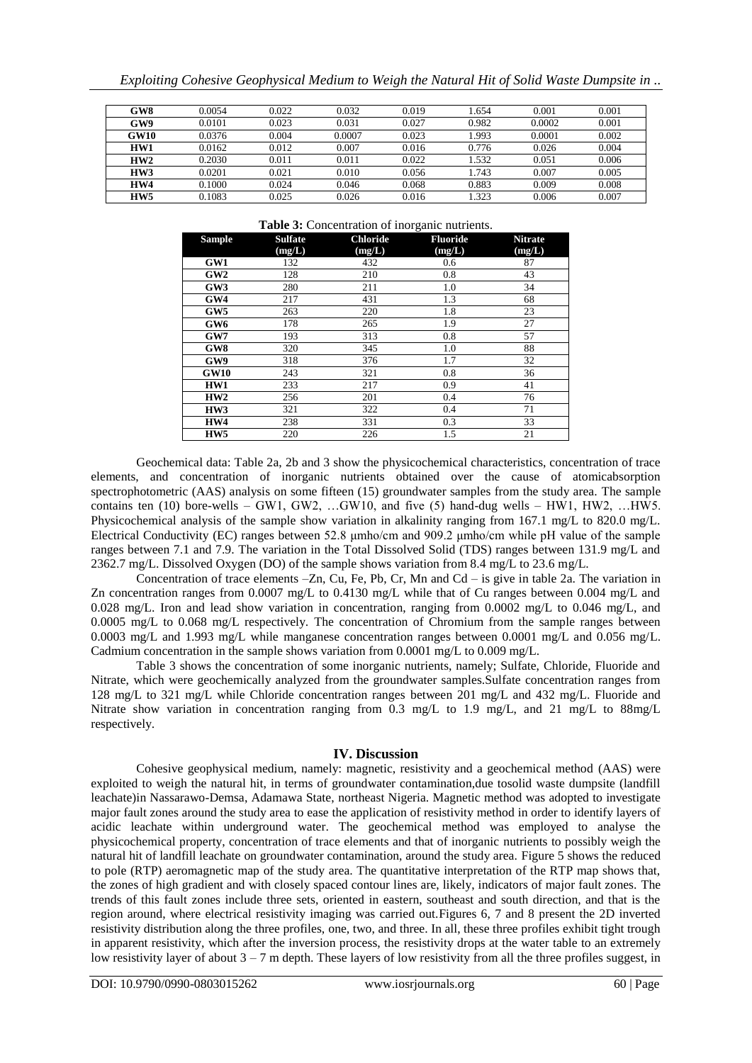|  |  |  |  | Exploiting Cohesive Geophysical Medium to Weigh the Natural Hit of Solid Waste Dumpsite in |
|--|--|--|--|--------------------------------------------------------------------------------------------|
|  |  |  |  |                                                                                            |

| GW8             | 0.0054 | 0.022 | 0.032  | 0.019 | .654  | 0.001  | 0.001 |
|-----------------|--------|-------|--------|-------|-------|--------|-------|
| GW9             | 0.0101 | 0.023 | 0.031  | 0.027 | 0.982 | 0.0002 | 0.001 |
| GW10            | 0.0376 | 0.004 | 0.0007 | 0.023 | .993  | 0.0001 | 0.002 |
| HW1             | 0.0162 | 0.012 | 0.007  | 0.016 | 0.776 | 0.026  | 0.004 |
| HW2             | 0.2030 | 0.011 | 0.011  | 0.022 | .532  | 0.051  | 0.006 |
| HW3             | 0.0201 | 0.021 | 0.010  | 0.056 | .743  | 0.007  | 0.005 |
| HW4             | 0.1000 | 0.024 | 0.046  | 0.068 | 0.883 | 0.009  | 0.008 |
| HW <sub>5</sub> | 0.1083 | 0.025 | 0.026  | 0.016 | .323  | 0.006  | 0.007 |

#### **Table 3:** Concentration of inorganic nutrients.

| <b>Sample</b>   | <b>Sulfate</b> | <b>Chloride</b> | <b>Fluoride</b> | <b>Nitrate</b> |
|-----------------|----------------|-----------------|-----------------|----------------|
|                 | (mg/L)         | (mg/L)          | (mg/L)          | (mg/L)         |
| GW1             | 132            | 432             | 0.6             | 87             |
| GW2             | 128            | 210             | 0.8             | 43             |
| GW3             | 280            | 211             | 1.0             | 34             |
| GW4             | 217            | 431             | 1.3             | 68             |
| GW5             | 263            | 220             | 1.8             | 23             |
| GW <sub>6</sub> | 178            | 265             | 1.9             | 27             |
| GW7             | 193            | 313             | 0.8             | 57             |
| GW <sub>8</sub> | 320            | 345             | 1.0             | 88             |
| GW9             | 318            | 376             | 1.7             | 32             |
| <b>GW10</b>     | 243            | 321             | 0.8             | 36             |
| HW1             | 233            | 217             | 0.9             | 41             |
| HW2             | 256            | 201             | 0.4             | 76             |
| HW3             | 321            | 322             | 0.4             | 71             |
| HW4             | 238            | 331             | 0.3             | 33             |
| HW <sub>5</sub> | 220            | 226             | 1.5             | 21             |

Geochemical data: Table 2a, 2b and 3 show the physicochemical characteristics, concentration of trace elements, and concentration of inorganic nutrients obtained over the cause of atomicabsorption spectrophotometric (AAS) analysis on some fifteen (15) groundwater samples from the study area. The sample contains ten (10) bore-wells – GW1, GW2, …GW10, and five (5) hand-dug wells – HW1, HW2, …HW5. Physicochemical analysis of the sample show variation in alkalinity ranging from 167.1 mg/L to 820.0 mg/L. Electrical Conductivity (EC) ranges between 52.8 μmho/cm and 909.2 μmho/cm while pH value of the sample ranges between 7.1 and 7.9. The variation in the Total Dissolved Solid (TDS) ranges between 131.9 mg/L and 2362.7 mg/L. Dissolved Oxygen (DO) of the sample shows variation from 8.4 mg/L to 23.6 mg/L.

Concentration of trace elements –Zn, Cu, Fe, Pb, Cr, Mn and Cd – is give in table 2a. The variation in Zn concentration ranges from 0.0007 mg/L to 0.4130 mg/L while that of Cu ranges between 0.004 mg/L and 0.028 mg/L. Iron and lead show variation in concentration, ranging from 0.0002 mg/L to 0.046 mg/L, and 0.0005 mg/L to 0.068 mg/L respectively. The concentration of Chromium from the sample ranges between 0.0003 mg/L and 1.993 mg/L while manganese concentration ranges between 0.0001 mg/L and 0.056 mg/L. Cadmium concentration in the sample shows variation from 0.0001 mg/L to 0.009 mg/L.

Table 3 shows the concentration of some inorganic nutrients, namely; Sulfate, Chloride, Fluoride and Nitrate, which were geochemically analyzed from the groundwater samples.Sulfate concentration ranges from 128 mg/L to 321 mg/L while Chloride concentration ranges between 201 mg/L and 432 mg/L. Fluoride and Nitrate show variation in concentration ranging from 0.3 mg/L to 1.9 mg/L, and 21 mg/L to 88mg/L respectively.

# **IV. Discussion**

Cohesive geophysical medium, namely: magnetic, resistivity and a geochemical method (AAS) were exploited to weigh the natural hit, in terms of groundwater contamination,due tosolid waste dumpsite (landfill leachate)in Nassarawo-Demsa, Adamawa State, northeast Nigeria. Magnetic method was adopted to investigate major fault zones around the study area to ease the application of resistivity method in order to identify layers of acidic leachate within underground water. The geochemical method was employed to analyse the physicochemical property, concentration of trace elements and that of inorganic nutrients to possibly weigh the natural hit of landfill leachate on groundwater contamination, around the study area. Figure 5 shows the reduced to pole (RTP) aeromagnetic map of the study area. The quantitative interpretation of the RTP map shows that, the zones of high gradient and with closely spaced contour lines are, likely, indicators of major fault zones. The trends of this fault zones include three sets, oriented in eastern, southeast and south direction, and that is the region around, where electrical resistivity imaging was carried out.Figures 6, 7 and 8 present the 2D inverted resistivity distribution along the three profiles, one, two, and three. In all, these three profiles exhibit tight trough in apparent resistivity, which after the inversion process, the resistivity drops at the water table to an extremely low resistivity layer of about  $3 - 7$  m depth. These layers of low resistivity from all the three profiles suggest, in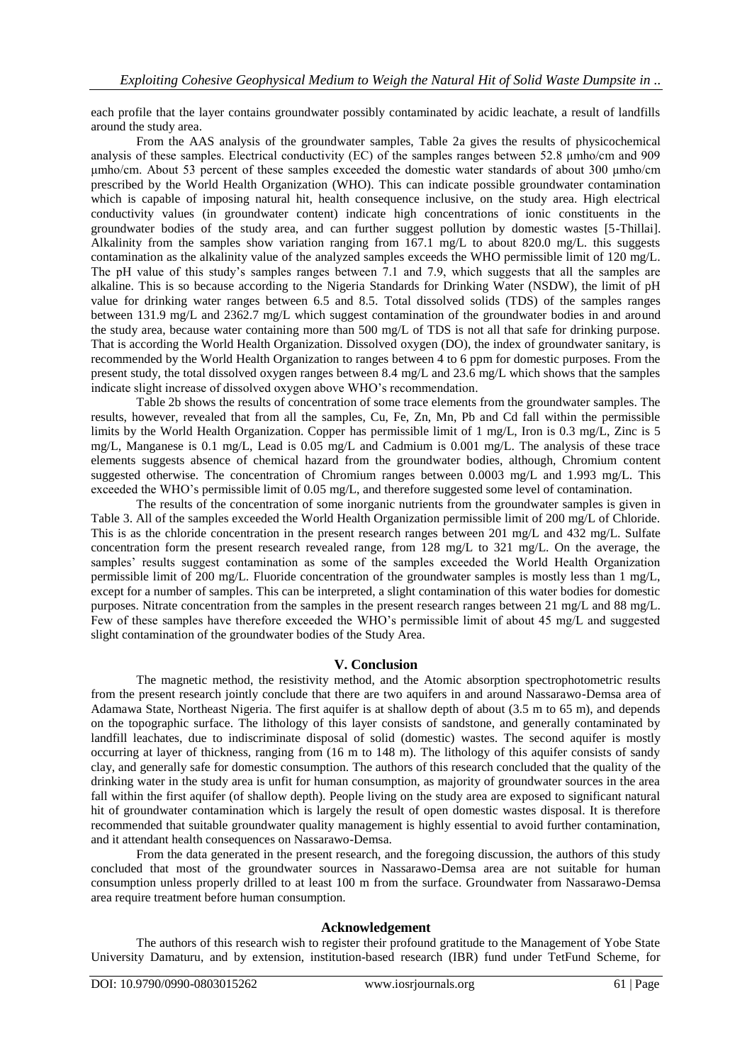each profile that the layer contains groundwater possibly contaminated by acidic leachate, a result of landfills around the study area.

From the AAS analysis of the groundwater samples, Table 2a gives the results of physicochemical analysis of these samples. Electrical conductivity (EC) of the samples ranges between 52.8 μmho/cm and 909 μmho/cm. About 53 percent of these samples exceeded the domestic water standards of about 300 μmho/cm prescribed by the World Health Organization (WHO). This can indicate possible groundwater contamination which is capable of imposing natural hit, health consequence inclusive, on the study area. High electrical conductivity values (in groundwater content) indicate high concentrations of ionic constituents in the groundwater bodies of the study area, and can further suggest pollution by domestic wastes [5-Thillai]. Alkalinity from the samples show variation ranging from 167.1 mg/L to about 820.0 mg/L. this suggests contamination as the alkalinity value of the analyzed samples exceeds the WHO permissible limit of 120 mg/L. The pH value of this study's samples ranges between 7.1 and 7.9, which suggests that all the samples are alkaline. This is so because according to the Nigeria Standards for Drinking Water (NSDW), the limit of pH value for drinking water ranges between 6.5 and 8.5. Total dissolved solids (TDS) of the samples ranges between 131.9 mg/L and 2362.7 mg/L which suggest contamination of the groundwater bodies in and around the study area, because water containing more than 500 mg/L of TDS is not all that safe for drinking purpose. That is according the World Health Organization. Dissolved oxygen (DO), the index of groundwater sanitary, is recommended by the World Health Organization to ranges between 4 to 6 ppm for domestic purposes. From the present study, the total dissolved oxygen ranges between 8.4 mg/L and 23.6 mg/L which shows that the samples indicate slight increase of dissolved oxygen above WHO's recommendation.

Table 2b shows the results of concentration of some trace elements from the groundwater samples. The results, however, revealed that from all the samples, Cu, Fe, Zn, Mn, Pb and Cd fall within the permissible limits by the World Health Organization. Copper has permissible limit of 1 mg/L, Iron is 0.3 mg/L, Zinc is 5 mg/L, Manganese is 0.1 mg/L, Lead is 0.05 mg/L and Cadmium is 0.001 mg/L. The analysis of these trace elements suggests absence of chemical hazard from the groundwater bodies, although, Chromium content suggested otherwise. The concentration of Chromium ranges between 0.0003 mg/L and 1.993 mg/L. This exceeded the WHO's permissible limit of 0.05 mg/L, and therefore suggested some level of contamination.

The results of the concentration of some inorganic nutrients from the groundwater samples is given in Table 3. All of the samples exceeded the World Health Organization permissible limit of 200 mg/L of Chloride. This is as the chloride concentration in the present research ranges between 201 mg/L and 432 mg/L. Sulfate concentration form the present research revealed range, from 128 mg/L to 321 mg/L. On the average, the samples' results suggest contamination as some of the samples exceeded the World Health Organization permissible limit of 200 mg/L. Fluoride concentration of the groundwater samples is mostly less than 1 mg/L, except for a number of samples. This can be interpreted, a slight contamination of this water bodies for domestic purposes. Nitrate concentration from the samples in the present research ranges between 21 mg/L and 88 mg/L. Few of these samples have therefore exceeded the WHO's permissible limit of about 45 mg/L and suggested slight contamination of the groundwater bodies of the Study Area.

# **V. Conclusion**

The magnetic method, the resistivity method, and the Atomic absorption spectrophotometric results from the present research jointly conclude that there are two aquifers in and around Nassarawo-Demsa area of Adamawa State, Northeast Nigeria. The first aquifer is at shallow depth of about (3.5 m to 65 m), and depends on the topographic surface. The lithology of this layer consists of sandstone, and generally contaminated by landfill leachates, due to indiscriminate disposal of solid (domestic) wastes. The second aquifer is mostly occurring at layer of thickness, ranging from (16 m to 148 m). The lithology of this aquifer consists of sandy clay, and generally safe for domestic consumption. The authors of this research concluded that the quality of the drinking water in the study area is unfit for human consumption, as majority of groundwater sources in the area fall within the first aquifer (of shallow depth). People living on the study area are exposed to significant natural hit of groundwater contamination which is largely the result of open domestic wastes disposal. It is therefore recommended that suitable groundwater quality management is highly essential to avoid further contamination, and it attendant health consequences on Nassarawo-Demsa.

From the data generated in the present research, and the foregoing discussion, the authors of this study concluded that most of the groundwater sources in Nassarawo-Demsa area are not suitable for human consumption unless properly drilled to at least 100 m from the surface. Groundwater from Nassarawo-Demsa area require treatment before human consumption.

## **Acknowledgement**

The authors of this research wish to register their profound gratitude to the Management of Yobe State University Damaturu, and by extension, institution-based research (IBR) fund under TetFund Scheme, for